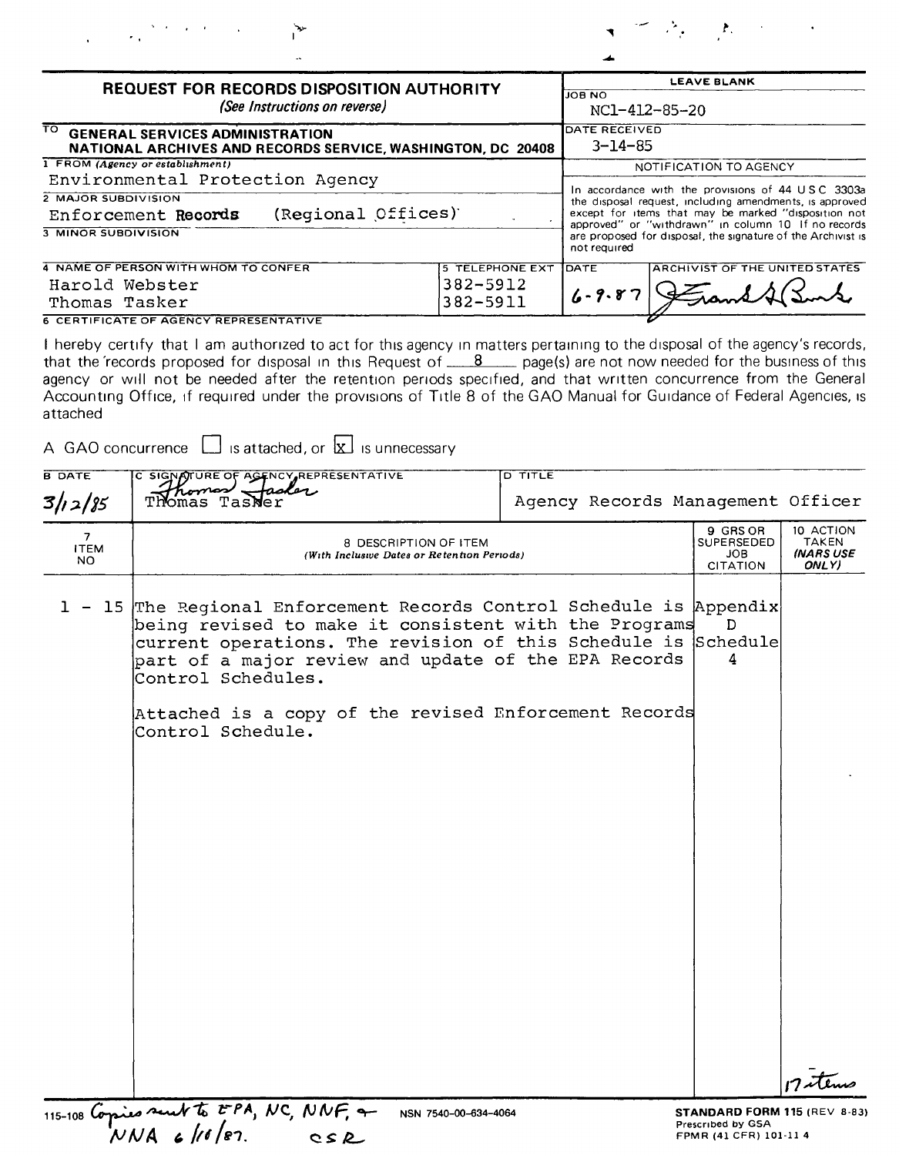

| <b>REQUEST FOR RECORDS DISPOSITION AUTHORITY</b><br>(See Instructions on reverse)<br>TO GENERAL SERVICES ADMINISTRATION<br>NATIONAL ARCHIVES AND RECORDS SERVICE, WASHINGTON, DC 20408 |                      |                                       | <b>LEAVE BLANK</b>                                                                                                                                                                                                                                                                                          |  |  |                                  |
|----------------------------------------------------------------------------------------------------------------------------------------------------------------------------------------|----------------------|---------------------------------------|-------------------------------------------------------------------------------------------------------------------------------------------------------------------------------------------------------------------------------------------------------------------------------------------------------------|--|--|----------------------------------|
|                                                                                                                                                                                        |                      |                                       | <b>JOB NO</b><br>NC1-412-85-20<br>DATE RECEIVED<br>$3 - 14 - 85$                                                                                                                                                                                                                                            |  |  |                                  |
|                                                                                                                                                                                        |                      |                                       |                                                                                                                                                                                                                                                                                                             |  |  | 1 FROM (Agency or establishment) |
| Environmental Protection Agency                                                                                                                                                        |                      |                                       | In accordance with the provisions of 44 USC 3303a<br>the disposal request, including amendments, is approved<br>except for items that may be marked "disposition not<br>approved" or "withdrawn" in column 10 If no records<br>are proposed for disposal, the signature of the Archivist is<br>not required |  |  |                                  |
| 2 MAJOR SUBDIVISION<br>(Regional Offices)<br>Enforcement Records                                                                                                                       |                      |                                       |                                                                                                                                                                                                                                                                                                             |  |  |                                  |
| <b>3 MINOR SUBDIVISION</b>                                                                                                                                                             |                      |                                       |                                                                                                                                                                                                                                                                                                             |  |  |                                  |
| 4 NAME OF PERSON WITH WHOM TO CONFER                                                                                                                                                   | <b>IDATE</b>         | <b>ARCHIVIST OF THE UNITED STATES</b> |                                                                                                                                                                                                                                                                                                             |  |  |                                  |
| Harold Webster<br>Thomas Tasker                                                                                                                                                        | 382-5912<br>382-5911 | $6 - 9.87$                            |                                                                                                                                                                                                                                                                                                             |  |  |                                  |
| <b>6 CERTIFICATE OF AGENCY REPRESENTATIVE</b>                                                                                                                                          |                      |                                       |                                                                                                                                                                                                                                                                                                             |  |  |                                  |

I hereby certify that I am authorized to act for this agency in matters pertaining to the disposal of the agency's records, that the 'records proposed for disposal in this Request of <u>8</u> agency are not now needed for the b attached

A GAO concurrence  $\Box$  is attached, or  $\overline{\mathbf{x}}$  is unnecessary

| <b>B DATE</b>           | C SIGNATURE OF AGENCY REPRESENTATIVE                                                                                                                                                                                                                                                                                                                   | <b>D TITLE</b>                    |                                                                             |                                          |
|-------------------------|--------------------------------------------------------------------------------------------------------------------------------------------------------------------------------------------------------------------------------------------------------------------------------------------------------------------------------------------------------|-----------------------------------|-----------------------------------------------------------------------------|------------------------------------------|
| 3/12/85                 | Thomas Tasker                                                                                                                                                                                                                                                                                                                                          | Agency Records Management Officer |                                                                             |                                          |
| 7<br><b>ITEM</b><br>NO. | 8 DESCRIPTION OF ITEM<br>(With Inclusive Dates or Retention Periods)                                                                                                                                                                                                                                                                                   |                                   | 9 GRS OR<br><b>SUPERSEDED</b><br>JOB<br><b>CITATION</b>                     | 10 ACTION<br>TAKEN<br>(NARS USE<br>ONLY) |
| 1 -                     | 15 The Regional Enforcement Records Control Schedule is Appendix<br>being revised to make it consistent with the Programs<br>current operations. The revision of this Schedule is Schedule<br>part of a major review and update of the EPA Records<br>Control Schedules.<br>Attached is a copy of the revised Enforcement Records<br>Control Schedule. |                                   | D<br>4                                                                      |                                          |
|                         |                                                                                                                                                                                                                                                                                                                                                        |                                   |                                                                             | 17 etems                                 |
|                         | 115-108 Copies sent to EPA, NC, NNF, +<br>NSN 7540-00-634-4064                                                                                                                                                                                                                                                                                         |                                   | STANDARD FORM 115 (REV 8-83)<br>Prescribed by GSA<br>FPMR (41 CFR) 101-11 4 |                                          |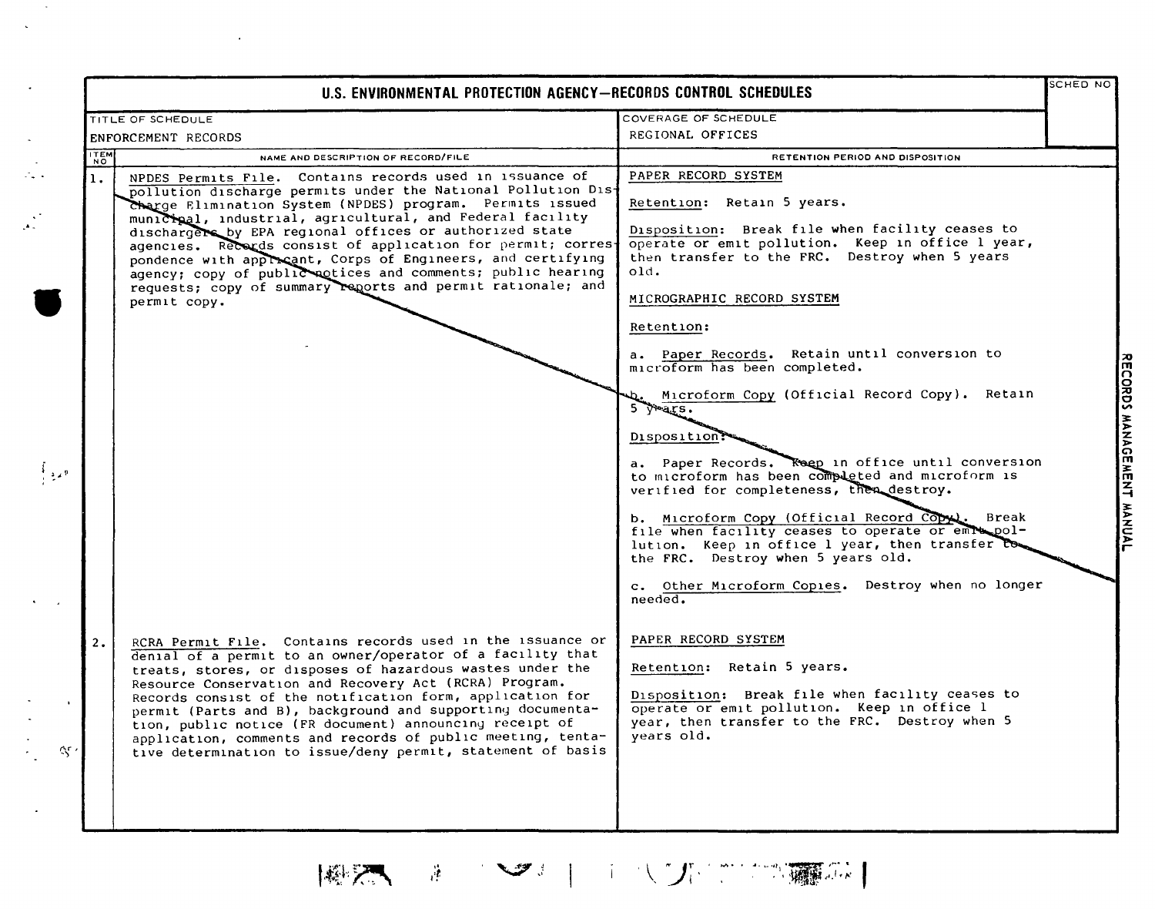|                | TITLE OF SCHEDULE                                                                                                                                                                                                                                                                                                                                                                                                                                                                                                                                                                           | COVERAGE OF SCHEDULE                                                                                                                                                                                                                                                                                                                                                                                                                                                                                                                                                                      |
|----------------|---------------------------------------------------------------------------------------------------------------------------------------------------------------------------------------------------------------------------------------------------------------------------------------------------------------------------------------------------------------------------------------------------------------------------------------------------------------------------------------------------------------------------------------------------------------------------------------------|-------------------------------------------------------------------------------------------------------------------------------------------------------------------------------------------------------------------------------------------------------------------------------------------------------------------------------------------------------------------------------------------------------------------------------------------------------------------------------------------------------------------------------------------------------------------------------------------|
|                | ENFORCEMENT RECORDS                                                                                                                                                                                                                                                                                                                                                                                                                                                                                                                                                                         | REGIONAL OFFICES                                                                                                                                                                                                                                                                                                                                                                                                                                                                                                                                                                          |
| <b>ITEM</b>    | NAME AND DESCRIPTION OF RECORD/FILE                                                                                                                                                                                                                                                                                                                                                                                                                                                                                                                                                         | RETENTION PERIOD AND DISPOSITION                                                                                                                                                                                                                                                                                                                                                                                                                                                                                                                                                          |
| $\mathbf{1}$ . | NPDES Permits File. Contains records used in issuance of<br>pollution discharge permits under the National Pollution Dis-<br>Charge Elimination System (NPDES) program. Permits issued<br>municipal, industrial, agricultural, and Federal facility<br>dischargers by EPA regional offices or authorized state<br>agencies. Records consist of application for permit; corres-<br>pondence with approcant, Corps of Engineers, and certifying<br>agency; copy of public actices and comments; public hearing<br>requests; copy of summary reports and permit rationale; and<br>permit copy. | PAPER RECORD SYSTEM<br>Retention: Retain 5 years.<br>Disposition: Break file when facility ceases to<br>operate or emit pollution. Keep in office 1 year,<br>then transfer to the FRC. Destroy when 5 years<br>old.<br>MICROGRAPHIC RECORD SYSTEM<br>Retention:                                                                                                                                                                                                                                                                                                                           |
|                |                                                                                                                                                                                                                                                                                                                                                                                                                                                                                                                                                                                             | a. Paper Records. Retain until conversion to<br>microform has been completed.<br>Microform Copy (Official Record Copy). Retain<br>$5$ $\sqrt{45}$ .<br>Disposition:<br>a. Paper Records. Reep in office until conversion<br>to microform has been completed and microform is<br>verified for completeness, then destroy.<br>b. Microform Copy (Official Record Copy). Break<br>file when facility ceases to operate or emra pol-<br>lution. Keep in office 1 year, then transfer to<br>the FRC. Destroy when 5 years old.<br>c. Other Microform Copies. Destroy when no longer<br>needed. |
| 2.             | RCRA Permit File. Contains records used in the issuance or<br>denial of a permit to an owner/operator of a facility that<br>treats, stores, or disposes of hazardous wastes under the<br>Resource Conservation and Recovery Act (RCRA) Program.<br>Records consist of the notification form, application for<br>permit (Parts and B), background and supporting documenta-<br>tion, public notice (FR document) announcing receipt of<br>application, comments and records of public meeting, tenta-<br>tive determination to issue/deny permit, statement of basis                         | PAPER RECORD SYSTEM<br>Retention: Retain 5 years.<br>Disposition: Break file when facility ceases to<br>operate or emit pollution. Keep in office l<br>year, then transfer to the FRC. Destroy when 5<br>years old.                                                                                                                                                                                                                                                                                                                                                                       |

|風天 まっつま| エスケビア環境|

 $\sim 10^{-12}$  $\ddot{\phantom{a}}$ 

 $\mathcal{L}(\mathcal{L}^{\text{max}}_{\mathcal{L}}(\mathcal{L}^{\text{max}}_{\mathcal{L}}),\mathcal{L}^{\text{max}}_{\mathcal{L}^{\text{max}}_{\mathcal{L}}})$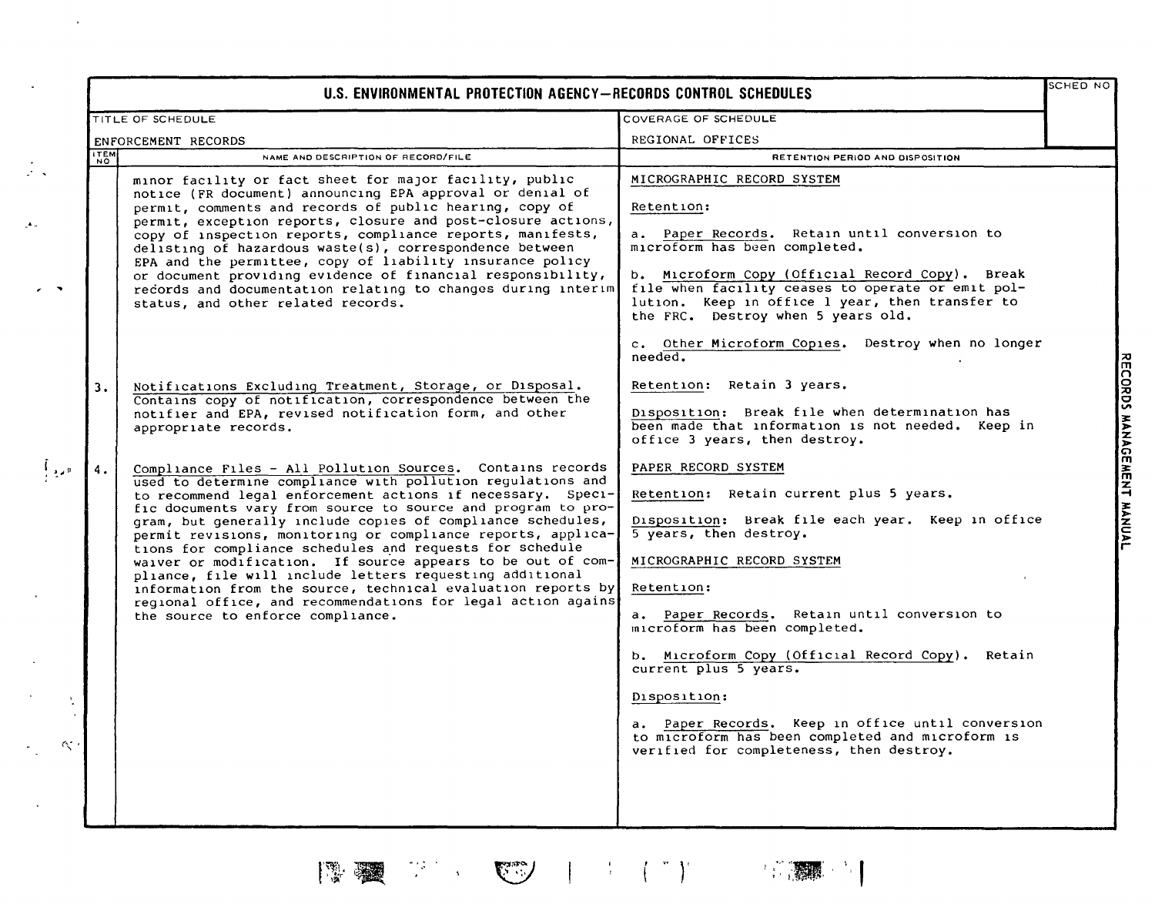|                               | TITLE OF SCHEDULE                                                                                                                                                                                                                                                                                                                                                                                                                                                                                                                                                                                                                                                                                                                                   | COVERAGE OF SCHEDULE                                                                                                                                                                                                                                                                                                                                                                                                                                                                                                         |
|-------------------------------|-----------------------------------------------------------------------------------------------------------------------------------------------------------------------------------------------------------------------------------------------------------------------------------------------------------------------------------------------------------------------------------------------------------------------------------------------------------------------------------------------------------------------------------------------------------------------------------------------------------------------------------------------------------------------------------------------------------------------------------------------------|------------------------------------------------------------------------------------------------------------------------------------------------------------------------------------------------------------------------------------------------------------------------------------------------------------------------------------------------------------------------------------------------------------------------------------------------------------------------------------------------------------------------------|
| ENFORCEMENT RECORDS           |                                                                                                                                                                                                                                                                                                                                                                                                                                                                                                                                                                                                                                                                                                                                                     | REGIONAL OFFICES                                                                                                                                                                                                                                                                                                                                                                                                                                                                                                             |
| <b>ITEM</b><br>$\overline{N}$ | NAME AND DESCRIPTION OF RECORD/FILE                                                                                                                                                                                                                                                                                                                                                                                                                                                                                                                                                                                                                                                                                                                 | RETENTION PERIOD AND DISPOSITION                                                                                                                                                                                                                                                                                                                                                                                                                                                                                             |
|                               | minor facility or fact sheet for major facility, public<br>notice (FR document) announcing EPA approval or denial of<br>permit, comments and records of public hearing, copy of<br>permit, exception reports, closure and post-closure actions,<br>copy of inspection reports, compliance reports, manifests,<br>delisting of hazardous waste(s), correspondence between<br>EPA and the permittee, copy of liability insurance policy<br>or document providing evidence of financial responsibility,<br>records and documentation relating to changes during interim<br>status, and other related records.                                                                                                                                          | MICROGRAPHIC RECORD SYSTEM<br>Retention:<br>a. Paper Records. Retain until conversion to<br>microform has been completed.<br>b. Microform Copy (Official Record Copy). Break<br>file when facility ceases to operate or emit pol-<br>lution. Keep in office 1 year, then transfer to<br>the FRC. Destroy when 5 years old.<br>c. Other Microform Copies. Destroy when no longer                                                                                                                                              |
| 3.                            | Notifications Excluding Treatment, Storage, or Disposal.<br>Contains copy of notification, correspondence between the<br>notifier and EPA, revised notification form, and other<br>appropriate records.                                                                                                                                                                                                                                                                                                                                                                                                                                                                                                                                             | needed.<br>Retention: Retain 3 years.<br>Disposition: Break file when determination has<br>been made that information is not needed. Keep in<br>office 3 years, then destroy.                                                                                                                                                                                                                                                                                                                                                |
|                               | Compliance Files - All Pollution Sources. Contains records<br>used to determine compliance with pollution regulations and<br>to recommend legal enforcement actions if necessary. Speci-<br>fic documents vary from source to source and program to pro-<br>gram, but generally include copies of compliance schedules,<br>permit revisions, monitoring or compliance reports, applica-<br>tions for compliance schedules and requests for schedule<br>waiver or modification. If source appears to be out of com-<br>pliance, file will include letters requesting additional<br>information from the source, technical evaluation reports by<br>regional office, and recommendations for legal action agains<br>the source to enforce compliance. | PAPER RECORD SYSTEM<br>Retention: Retain current plus 5 years.<br>Disposition: Break file each year. Keep in office<br>5 years, then destroy.<br>MICROGRAPHIC RECORD SYSTEM<br>Retention:<br>a. Paper Records. Retain until conversion to<br>microform has been completed.<br>b. Microform Copy (Official Record Copy). Retain<br>current plus 5 years.<br>Disposition:<br>a. Paper Records. Keep in office until conversion<br>to microform has been completed and microform is<br>verified for completeness, then destroy. |

 $\label{eq:3} \frac{1}{2} \int_{\mathbb{R}^3} \left( \frac{1}{2} \left( \frac{1}{2} \right)^2 \right)^{1/2} \left( \frac{1}{2} \right)^{1/2} \left( \frac{1}{2} \right)^{1/2} \left( \frac{1}{2} \right)^{1/2} \left( \frac{1}{2} \right)^{1/2} \left( \frac{1}{2} \right)^{1/2} \left( \frac{1}{2} \right)^{1/2} \left( \frac{1}{2} \right)^{1/2} \left( \frac{1}{2} \right)^{1/2} \left( \frac{1}{2} \right)^{1/2}$ 

 $\begin{array}{l} \frac{\partial^2 \mathcal{L}^2}{\partial \mathcal{L}} \left( \frac{\partial \mathcal{L}^2}{\partial \mathcal{L}^2} \right) \\ \frac{\partial \mathcal{L}^2}{\partial \mathcal{L}^2} \left( \frac{\partial \mathcal{L}^2}{\partial \mathcal{L}^2} \right) \left( \mathcal{L}^2 \right) \end{array}$ 

7

 $\begin{picture}(220,20) \put(0,0){\line(1,0){10}} \put(15,0){\line(1,0){10}} \put(15,0){\line(1,0){10}} \put(15,0){\line(1,0){10}} \put(15,0){\line(1,0){10}} \put(15,0){\line(1,0){10}} \put(15,0){\line(1,0){10}} \put(15,0){\line(1,0){10}} \put(15,0){\line(1,0){10}} \put(15,0){\line(1,0){10}} \put(15,0){\line(1,0){10}} \put(15,0){\line($ 

 $\mathcal{A}$ 

 $\bar{\mathbf{r}}$ 

 $\cdot$ 

 $\frac{1}{2}$  .

 $\mathcal{A}_{\mathcal{A}}$ 

 $\overline{\phantom{a}}$ 

 $\cdot$ 

! I \_ "'''g' <sup>I</sup> \ I ' ',~ -" ••**tot·**

**RECORD.** S<br>"\* where we have to the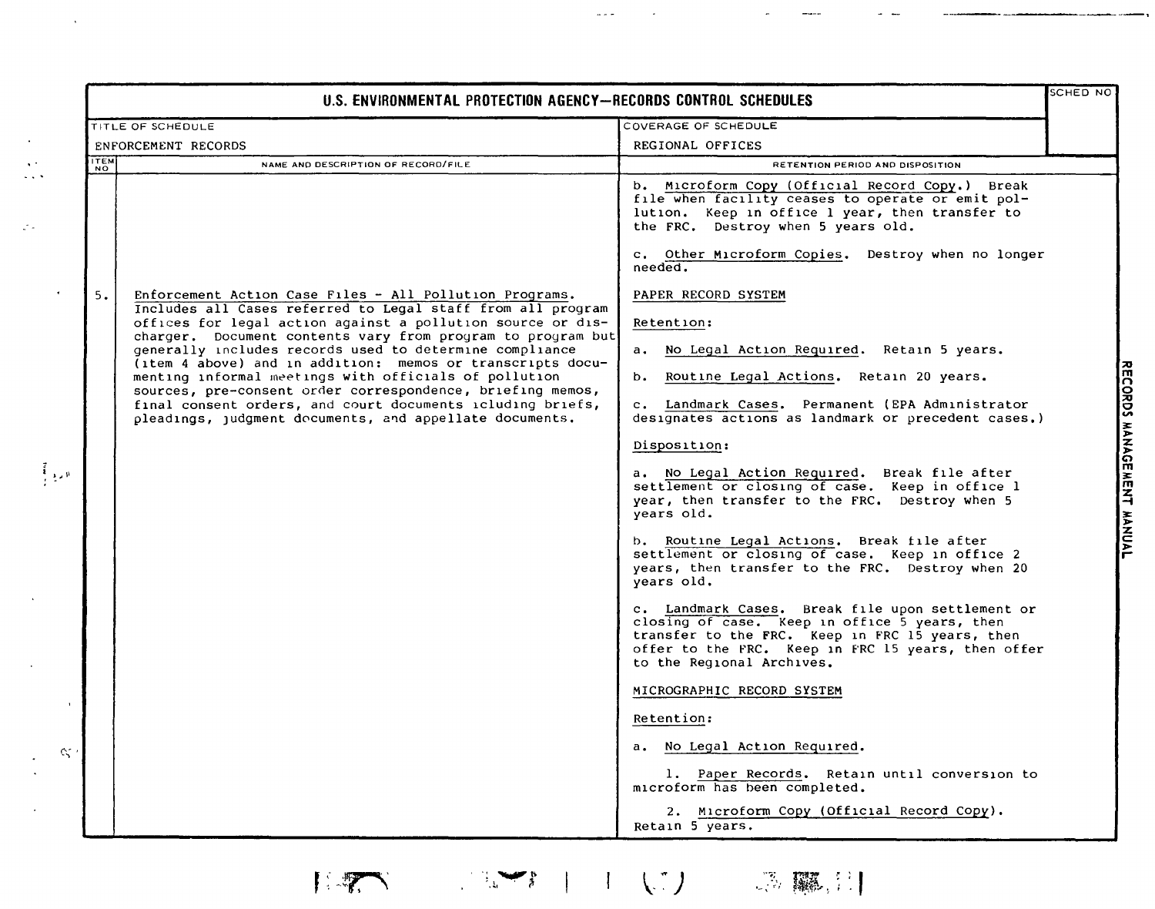|             | U.S. ENVIRONMENTAL PROTECTION AGENCY-RECORDS CONTROL SCHEDULES                                                                                                                    |                                                                                                                                                                                                                                         | SCHED NO |
|-------------|-----------------------------------------------------------------------------------------------------------------------------------------------------------------------------------|-----------------------------------------------------------------------------------------------------------------------------------------------------------------------------------------------------------------------------------------|----------|
|             | <b>TITLE OF SCHEDULE</b>                                                                                                                                                          | COVERAGE OF SCHEDULE                                                                                                                                                                                                                    |          |
|             | ENFORCEMENT RECORDS                                                                                                                                                               | REGIONAL OFFICES                                                                                                                                                                                                                        |          |
| <b>ITEM</b> | NAME AND DESCRIPTION OF RECORD/FILE                                                                                                                                               | RETENTION PERIOD AND DISPOSITION                                                                                                                                                                                                        |          |
|             |                                                                                                                                                                                   | b. Microform Copy (Official Record Copy.) Break<br>file when facility ceases to operate or emit pol-<br>lution. Keep in office 1 year, then transfer to<br>the FRC. Destroy when 5 years old.                                           |          |
|             |                                                                                                                                                                                   | c. Other Microform Copies. Destroy when no longer<br>needed.                                                                                                                                                                            |          |
| 5.          | Enforcement Action Case Files - All Pollution Programs.<br>Includes all Cases referred to Legal staff from all program                                                            | PAPER RECORD SYSTEM                                                                                                                                                                                                                     |          |
|             | offices for legal action against a pollution source or dis-                                                                                                                       | Retention:                                                                                                                                                                                                                              |          |
|             | charger. Document contents vary from program to program but<br>generally includes records used to determine compliance                                                            | a. No Legal Action Required. Retain 5 years.                                                                                                                                                                                            |          |
|             | (item 4 above) and in addition: memos or transcripts docu-<br>menting informal meetings with officials of pollution<br>sources, pre-consent order correspondence, briefing memos, | b. Routine Legal Actions. Retain 20 years.                                                                                                                                                                                              |          |
|             | final consent orders, and court documents icluding briefs,<br>pleadings, judgment documents, and appellate documents.                                                             | c. Landmark Cases. Permanent (EPA Administrator<br>designates actions as landmark or precedent cases.)                                                                                                                                  |          |
|             |                                                                                                                                                                                   | Disposition:                                                                                                                                                                                                                            |          |
|             |                                                                                                                                                                                   | a. No Legal Action Required. Break file after<br>settlement or closing of case. Keep in office 1<br>year, then transfer to the FRC. Destroy when 5<br>years old.                                                                        |          |
|             |                                                                                                                                                                                   | b. Routine Legal Actions. Break file after<br>settlement or closing of case. Keep in office 2<br>years, then transfer to the FRC. Destroy when 20<br>years old.                                                                         |          |
|             |                                                                                                                                                                                   | c. Landmark Cases. Break file upon settlement or<br>closing of case. Keep in office 5 years, then<br>transfer to the FRC. Keep in FRC 15 years, then<br>offer to the FRC. Keep in FRC 15 years, then offer<br>to the Regional Archives. |          |
|             |                                                                                                                                                                                   | MICROGRAPHIC RECORD SYSTEM                                                                                                                                                                                                              |          |
|             |                                                                                                                                                                                   | Retention:                                                                                                                                                                                                                              |          |
|             |                                                                                                                                                                                   | No Legal Action Required.<br>a.                                                                                                                                                                                                         |          |
|             |                                                                                                                                                                                   | 1. Paper Records. Retain until conversion to<br>microform has been completed.                                                                                                                                                           |          |
|             |                                                                                                                                                                                   | 2. Microform Copy (Official Record Copy).<br>Retain 5 years.                                                                                                                                                                            |          |

 $\ddotsc$ 

 $\mathcal{L}^{\text{max}}_{\text{max}}$ 

 $\mathcal{L}^{\mathcal{L}}$  $\frac{1}{2}$ 

 $\varphi_{\sigma}$ 

 $\frac{1}{2}$  ,  $\frac{1}{2}$  ,  $\frac{1}{2}$  ,  $\frac{1}{2}$ 

 $\bar{\mathbf{v}}$ 

 $\mathcal{A}$ 

 $\frac{1}{2}$ 

 $\mathbb{E}[\mathcal{F}_1] = \mathbb{E}[\mathcal{F}_1]$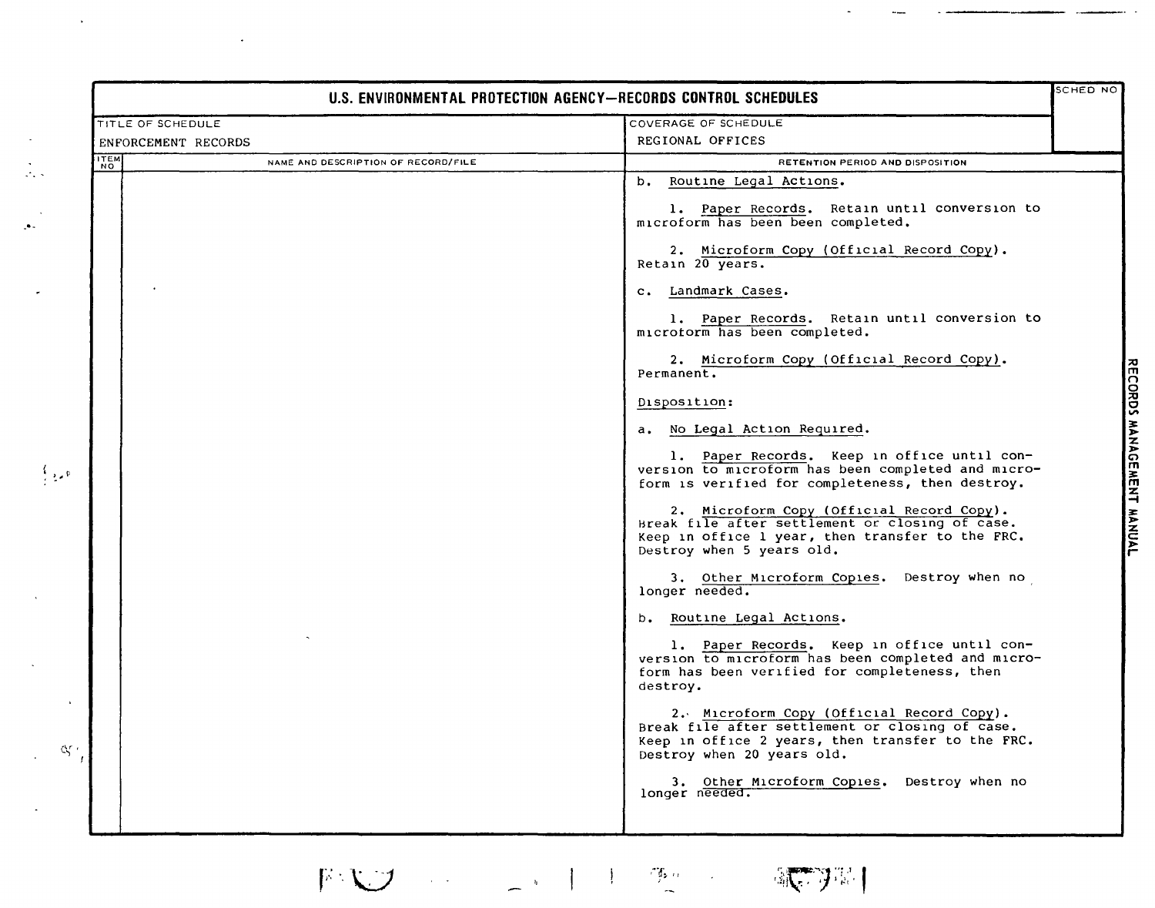|                                                                       | U.S. ENVIRONMENTAL PROTECTION AGENCY-RECORDS CONTROL SCHEDULES                                                                                                                  |
|-----------------------------------------------------------------------|---------------------------------------------------------------------------------------------------------------------------------------------------------------------------------|
| COVERAGE OF SCHEDULE<br>TITLE OF SCHEDULE                             |                                                                                                                                                                                 |
| ENFORCEMENT RECORDS                                                   | REGIONAL OFFICES                                                                                                                                                                |
| <b>ITEM</b><br>NAME AND DESCRIPTION OF RECORD/FILE<br>NO <sup>"</sup> | RETENTION PERIOD AND DISPOSITION                                                                                                                                                |
|                                                                       | b. Routine Legal Actions.                                                                                                                                                       |
|                                                                       | 1. Paper Records. Retain until conversion to<br>microform has been been completed.                                                                                              |
|                                                                       | 2. Microform Copy (Official Record Copy).<br>Retain 20 years.                                                                                                                   |
|                                                                       | c. Landmark Cases.                                                                                                                                                              |
|                                                                       | 1. Paper Records. Retain until conversion to<br>microtorm has been completed.                                                                                                   |
|                                                                       | 2. Microform Copy (Official Record Copy).<br>Permanent.                                                                                                                         |
|                                                                       | Disposition:                                                                                                                                                                    |
|                                                                       | a. No Legal Action Required.                                                                                                                                                    |
|                                                                       | 1. Paper Records. Keep in office until con-<br>version to microform has been completed and micro-<br>form is verified for completeness, then destroy.                           |
|                                                                       | 2. Microform Copy (Official Record Copy).<br>Break file after settlement or closing of case.<br>Keep in office 1 year, then transfer to the FRC.<br>Destroy when 5 years old.   |
|                                                                       | 3. Other Microform Copies. Destroy when no<br>longer needed.                                                                                                                    |
|                                                                       | b. Routine Legal Actions.                                                                                                                                                       |
|                                                                       | 1. Paper Records. Keep in office until con-<br>version to microform has been completed and micro-<br>form has been verified for completeness, then<br>destroy.                  |
|                                                                       | 2. Microform Copy (Official Record Copy).<br>Break file after settlement or closing of case.<br>Keep in office 2 years, then transfer to the FRC.<br>Destroy when 20 years old. |
|                                                                       | 3. Other Microform Copies. Destroy when no<br>longer needed.                                                                                                                    |

歌羽

•0.

 $\frac{1}{\sqrt{2}}$ 

 $\mathcal{A}^{\mathcal{A}}$ 

**FCORDS** ~ z **GEMENT FANCAL**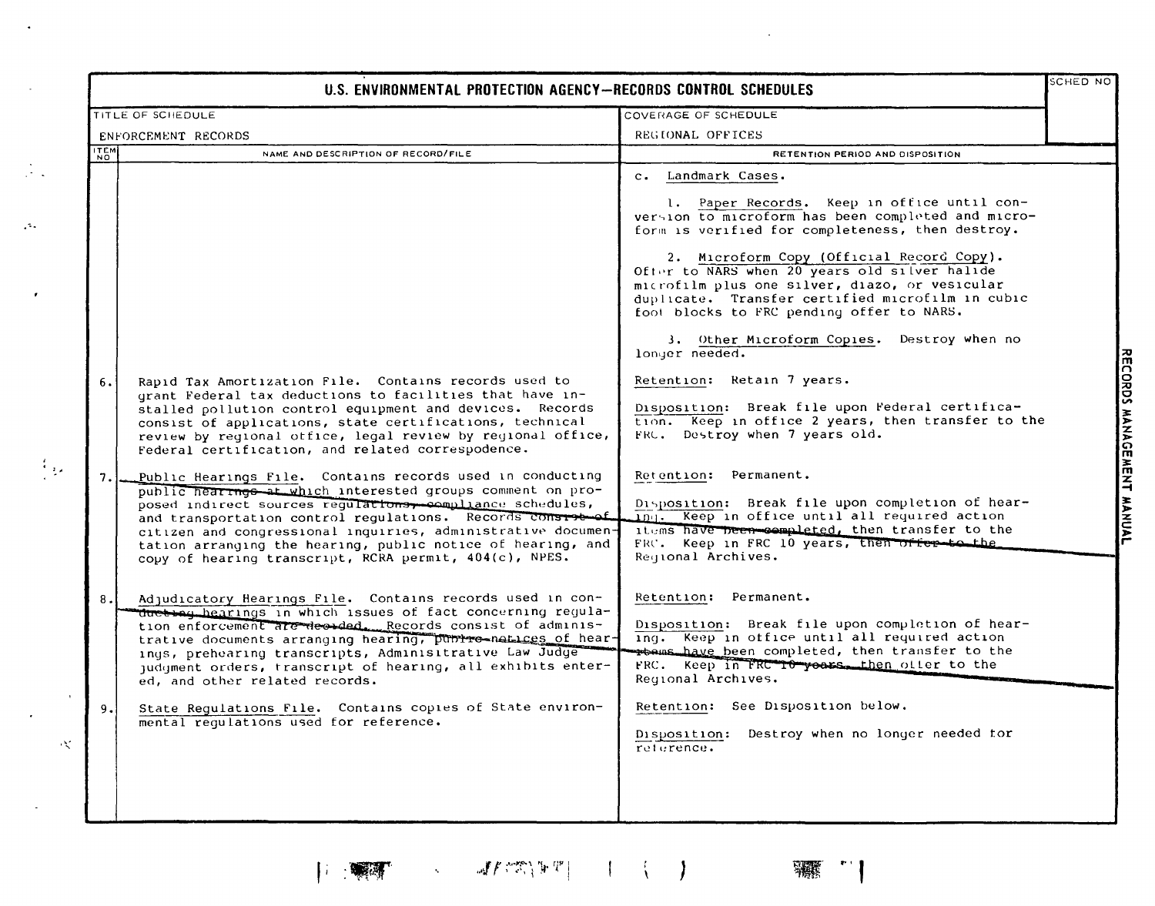|             | U.S. ENVIRONMENTAL PROTECTION AGENCY-RECORDS CONTROL SCHEDULES                                                                                                                                                                                                                                                                                                                                                                              |                                                                                                                                                                                                                                                                                                                                                                                                                              |  |
|-------------|---------------------------------------------------------------------------------------------------------------------------------------------------------------------------------------------------------------------------------------------------------------------------------------------------------------------------------------------------------------------------------------------------------------------------------------------|------------------------------------------------------------------------------------------------------------------------------------------------------------------------------------------------------------------------------------------------------------------------------------------------------------------------------------------------------------------------------------------------------------------------------|--|
|             | TITLE OF SCHEDULE                                                                                                                                                                                                                                                                                                                                                                                                                           | COVERAGE OF SCHEDULE                                                                                                                                                                                                                                                                                                                                                                                                         |  |
|             | ENFORCEMENT RECORDS                                                                                                                                                                                                                                                                                                                                                                                                                         | REGIONAL OFFICES                                                                                                                                                                                                                                                                                                                                                                                                             |  |
| <b>ITEM</b> | NAME AND DESCRIPTION OF RECORD/FILE                                                                                                                                                                                                                                                                                                                                                                                                         | RETENTION PERIOD AND DISPOSITION                                                                                                                                                                                                                                                                                                                                                                                             |  |
|             |                                                                                                                                                                                                                                                                                                                                                                                                                                             | c. Landmark Cases.<br>1. Paper Records. Keep in office until con-<br>version to microform has been completed and micro-<br>form is verified for completeness, then destroy.<br>2. Microform Copy (Official Record Copy).<br>Ofter to NARS when 20 years old silver halide<br>microfilm plus one silver, diazo, or vesicular<br>duplicate. Transfer certified microfilm in cubic<br>foot blocks to FRC pending offer to NARS. |  |
| 6.          | Rapid Tax Amortization File. Contains records used to<br>grant Federal tax deductions to facilities that have in-<br>stalled pollution control equipment and devices. Records<br>consist of applications, state certifications, technical<br>review by reqional office, legal review by regional office,<br>Federal certification, and related correspodence.                                                                               | 3. Other Microform Copies. Destroy when no<br>longer needed.<br>Retention: Retain 7 years.<br>Disposition: Break file upon Federal certifica-<br>tion. Keep in office 2 years, then transfer to the<br>FRC. Destroy when 7 years old.                                                                                                                                                                                        |  |
| 7.          | Public Hearings File. Contains records used in conducting<br>public hearings at which interested groups comment on pro-<br>posed indirect sources regularions, compliance schedules,<br>and transportation control regulations. Records considerat<br>citizen and congressional inquiries, administrative documen-<br>tation arranging the hearing, public notice of hearing, and<br>copy of hearing transcript, RCRA permit, 404(c), NPES. | Retention: Permanent.<br>Disposition: Break file upon completion of hear-<br>Ing. Keep in office until all required action<br>items have been sompleted, then transfer to the<br>FRC. Keep in FRC 10 years, then offer to the<br>Reqional Archives.                                                                                                                                                                          |  |
| $\bf 8$ .   | Adjudicatory Hearings File. Contains records used in con-<br>ducting hearings in which issues of fact concerning regula-<br>tion enforcement are decaded. Records consist of adminis-<br>trative documents arranging hearing, public-natices of hear-<br>ings, prehearing transcripts, Adminisitrative Law Judge<br>judgment orders, transcript of hearing, all exhibits enter-<br>ed, and other related records.                           | Retention: Permanent.<br>Disposition: Break file upon completion of hear-<br>ing. Keep in office until all required action<br>rtems have been completed, then transfer to the<br>FRC. Keep in FRC TO years. then offer to the<br>Regional Archives.                                                                                                                                                                          |  |
| 9.          | State Regulations File. Contains copies of State environ-<br>mental regulations used for reference.                                                                                                                                                                                                                                                                                                                                         | Retention: See Disposition below.<br>Disposition: Destroy when no longer needed for<br>reference.                                                                                                                                                                                                                                                                                                                            |  |

 $\langle \cdot \rangle$ 

 $\sim 10$ 

 $\frac{1}{2}$  .

 $\mathcal{A}^{\mathcal{A}}$ 

 $\pmb{\cdot}$ 

 $\mathcal{A}$ 

 $\sim$ 

 $\left| \begin{array}{ccccc} \text{diag} & \text{diag} & \text{diag} & \text{diag} & \text{diag} & \text{diag} & \text{diag} & \text{diag} & \text{diag} & \text{diag} & \text{diag} & \text{diag} & \text{diag} & \text{diag} & \text{diag} & \text{diag} & \text{diag} & \text{diag} & \text{diag} & \text{diag} & \text{diag} & \text{diag} & \text{diag} & \text{diag} & \text{diag} & \text{diag} & \text{diag} & \text{diag} & \text{diag} & \text{diag} & \text{diag} & \text{diag} & \text{diag} & \text{diag} & \text{diag}$ 

 $\sim 10^7$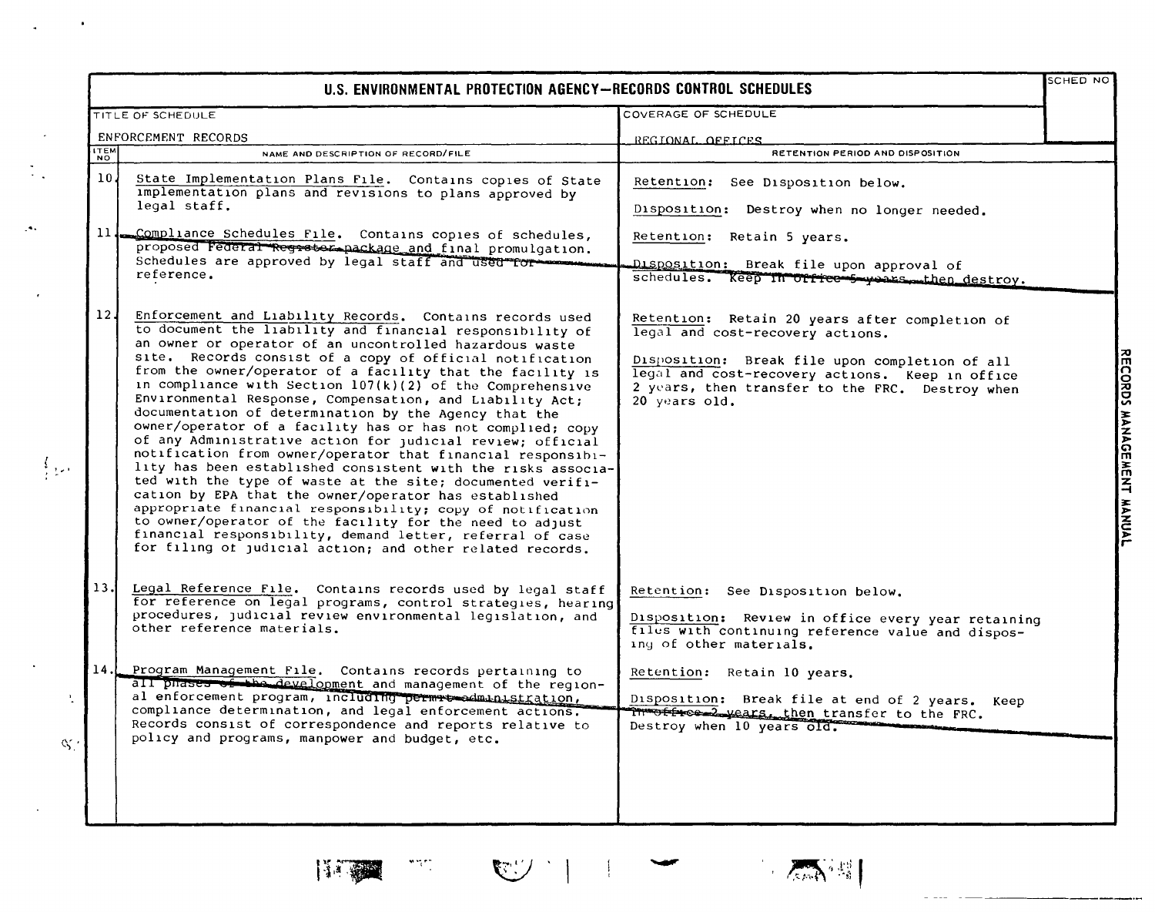|                 | U.S. ENVIRONMENTAL PROTECTION AGENCY-RECORDS CONTROL SCHEDULES                                                                                                                                                                                                                                                                                                                                                                                                                                                                                                                                                                                                                                                                                                                                                                                                                                                                                                                                                                                                                                                                     |                                                                                                                                                                                                                                                             |  |
|-----------------|------------------------------------------------------------------------------------------------------------------------------------------------------------------------------------------------------------------------------------------------------------------------------------------------------------------------------------------------------------------------------------------------------------------------------------------------------------------------------------------------------------------------------------------------------------------------------------------------------------------------------------------------------------------------------------------------------------------------------------------------------------------------------------------------------------------------------------------------------------------------------------------------------------------------------------------------------------------------------------------------------------------------------------------------------------------------------------------------------------------------------------|-------------------------------------------------------------------------------------------------------------------------------------------------------------------------------------------------------------------------------------------------------------|--|
|                 | TITLE OF SCHEDULE                                                                                                                                                                                                                                                                                                                                                                                                                                                                                                                                                                                                                                                                                                                                                                                                                                                                                                                                                                                                                                                                                                                  | COVERAGE OF SCHEDULE                                                                                                                                                                                                                                        |  |
|                 | ENFORCEMENT RECORDS                                                                                                                                                                                                                                                                                                                                                                                                                                                                                                                                                                                                                                                                                                                                                                                                                                                                                                                                                                                                                                                                                                                | REGIONAL OFFICES                                                                                                                                                                                                                                            |  |
| <b>ITEM</b>     | NAME AND DESCRIPTION OF RECORD/FILE                                                                                                                                                                                                                                                                                                                                                                                                                                                                                                                                                                                                                                                                                                                                                                                                                                                                                                                                                                                                                                                                                                | RETENTION PERIOD AND DISPOSITION                                                                                                                                                                                                                            |  |
| 10 <sub>l</sub> | State Implementation Plans File. Contains copies of State<br>implementation plans and revisions to plans approved by<br>legal staff.                                                                                                                                                                                                                                                                                                                                                                                                                                                                                                                                                                                                                                                                                                                                                                                                                                                                                                                                                                                               | Retention: See Disposition below.<br>Disposition: Destroy when no longer needed.                                                                                                                                                                            |  |
| 11 <sub>1</sub> | Compliance Schedules File. Contains copies of schedules,<br>proposed Federal Regrstor package and final promulgation.<br>Schedules are approved by legal staff and used for<br>reference.                                                                                                                                                                                                                                                                                                                                                                                                                                                                                                                                                                                                                                                                                                                                                                                                                                                                                                                                          | Retention: Retain 5 years.<br>Disposition: Break file upon approval of<br>schedules. Keep in office 5 years then destroy.                                                                                                                                   |  |
| 12 <sub>1</sub> | Enforcement and Liability Records. Contains records used<br>to document the liability and financial responsibility of<br>an owner or operator of an uncontrolled hazardous waste<br>site. Records consist of a copy of official notification<br>from the owner/operator of a facility that the facility is<br>in compliance with Section 107(k)(2) of the Comprehensive<br>Environmental Response, Compensation, and Liability Act;<br>documentation of determination by the Agency that the<br>owner/operator of a facility has or has not complied; copy<br>of any Administrative action for judicial review; official<br>notification from owner/operator that financial responsibi-<br>lity has been established consistent with the risks associa-<br>ted with the type of waste at the site; documented verifi-<br>cation by EPA that the owner/operator has established<br>appropriate financial responsibility; copy of notification<br>to owner/operator of the facility for the need to adjust<br>financial responsibility, demand letter, referral of case<br>for filing of judicial action; and other related records. | Retention: Retain 20 years after completion of<br>legal and cost-recovery actions.<br>Disposition: Break file upon completion of all<br>legal and cost-recovery actions. Keep in office<br>2 years, then transfer to the FRC. Destroy when<br>20 years old. |  |
| 13.             | Legal Reference File. Contains records used by legal staff<br>for reference on legal programs, control strategies, hearing<br>procedures, judicial review environmental legislation, and<br>other reference materials.                                                                                                                                                                                                                                                                                                                                                                                                                                                                                                                                                                                                                                                                                                                                                                                                                                                                                                             | Retention: See Disposition below.<br>Disposition: Review in office every year retaining<br>files with continuing reference value and dispos-<br>ing of other materials.                                                                                     |  |
| 14.1            | Program Management File. Contains records pertaining to<br>all phases of the development and management of the region-<br>al enforcement program, including permit-edministration,<br>compliance determination, and legal enforcement actions.<br>Records consist of correspondence and reports relative to<br>policy and programs, manpower and budget, etc.                                                                                                                                                                                                                                                                                                                                                                                                                                                                                                                                                                                                                                                                                                                                                                      | Retention: Retain 10 years.<br>Disposition: Break file at end of 2 years. Keep<br>in office 2 years, then transfer to the FRC.<br>Destroy when 10 years old.                                                                                                |  |



 $\mathcal{A}_\sigma$ 





**WA** 

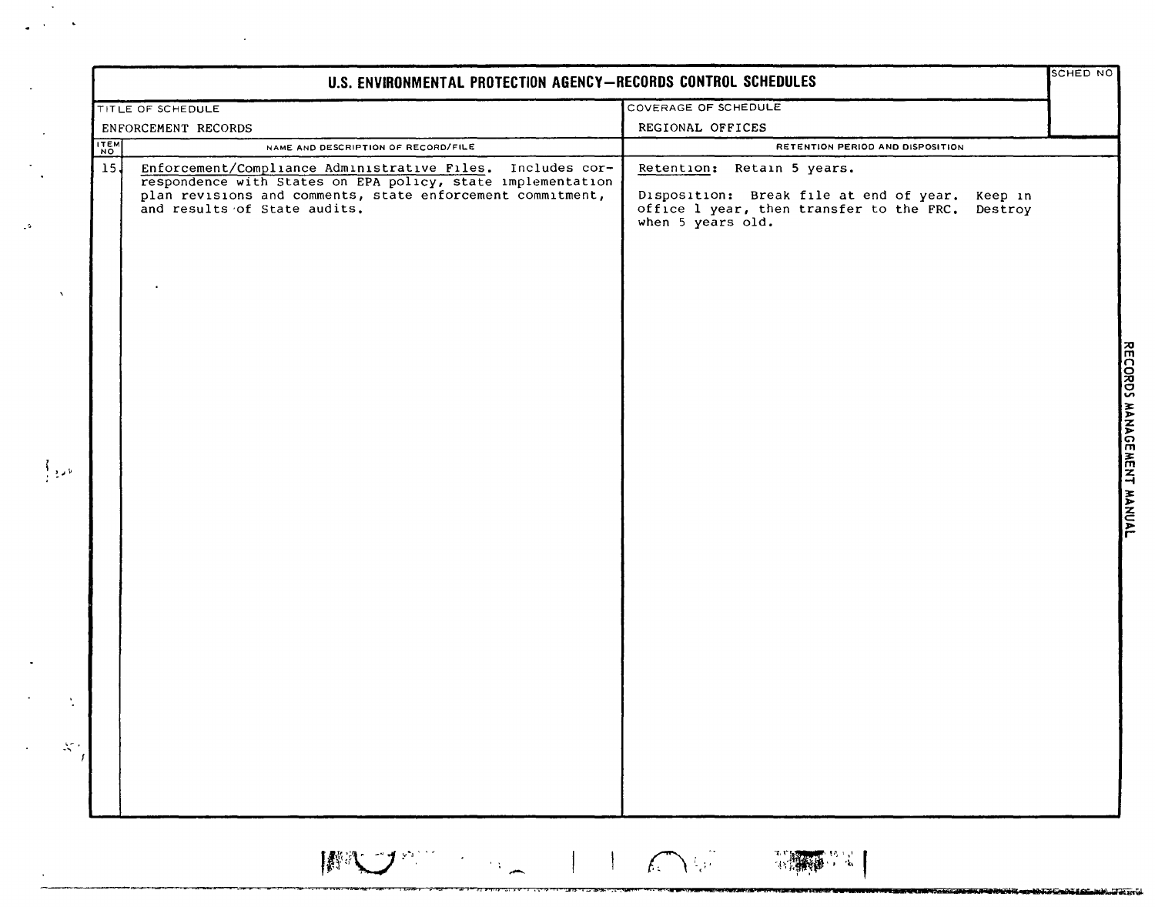|                         |                                                                                                                                                                                                                                                                | COVERAGE OF SCHEDULE                                                                                                                                                                       |  |
|-------------------------|----------------------------------------------------------------------------------------------------------------------------------------------------------------------------------------------------------------------------------------------------------------|--------------------------------------------------------------------------------------------------------------------------------------------------------------------------------------------|--|
|                         | TITLE OF SCHEDULE                                                                                                                                                                                                                                              | REGIONAL OFFICES                                                                                                                                                                           |  |
|                         | ENFORCEMENT RECORDS                                                                                                                                                                                                                                            |                                                                                                                                                                                            |  |
| ITEM<br>15 <sup>1</sup> | NAME AND DESCRIPTION OF RECORD/FILE<br>Enforcement/Compliance Administrative Files. Includes cor-<br>respondence with States on EPA policy, state implementation<br>plan revisions and comments, state enforcement commitment,<br>and results of State audits. | RETENTION PERIOD AND DISPOSITION<br>Retention: Retain 5 years.<br>Disposition: Break file at end of year. Keep in<br>office 1 year, then transfer to the FRC. Destroy<br>when 5 years old. |  |
|                         |                                                                                                                                                                                                                                                                |                                                                                                                                                                                            |  |
|                         |                                                                                                                                                                                                                                                                |                                                                                                                                                                                            |  |
|                         |                                                                                                                                                                                                                                                                |                                                                                                                                                                                            |  |

THE CONTRACTOR OF THE CONTRACTOR

 $\mathcal{L}_{\mathcal{A}}$ 

 $\mathbb{R}^2$ 

 $\bar{z}$ 

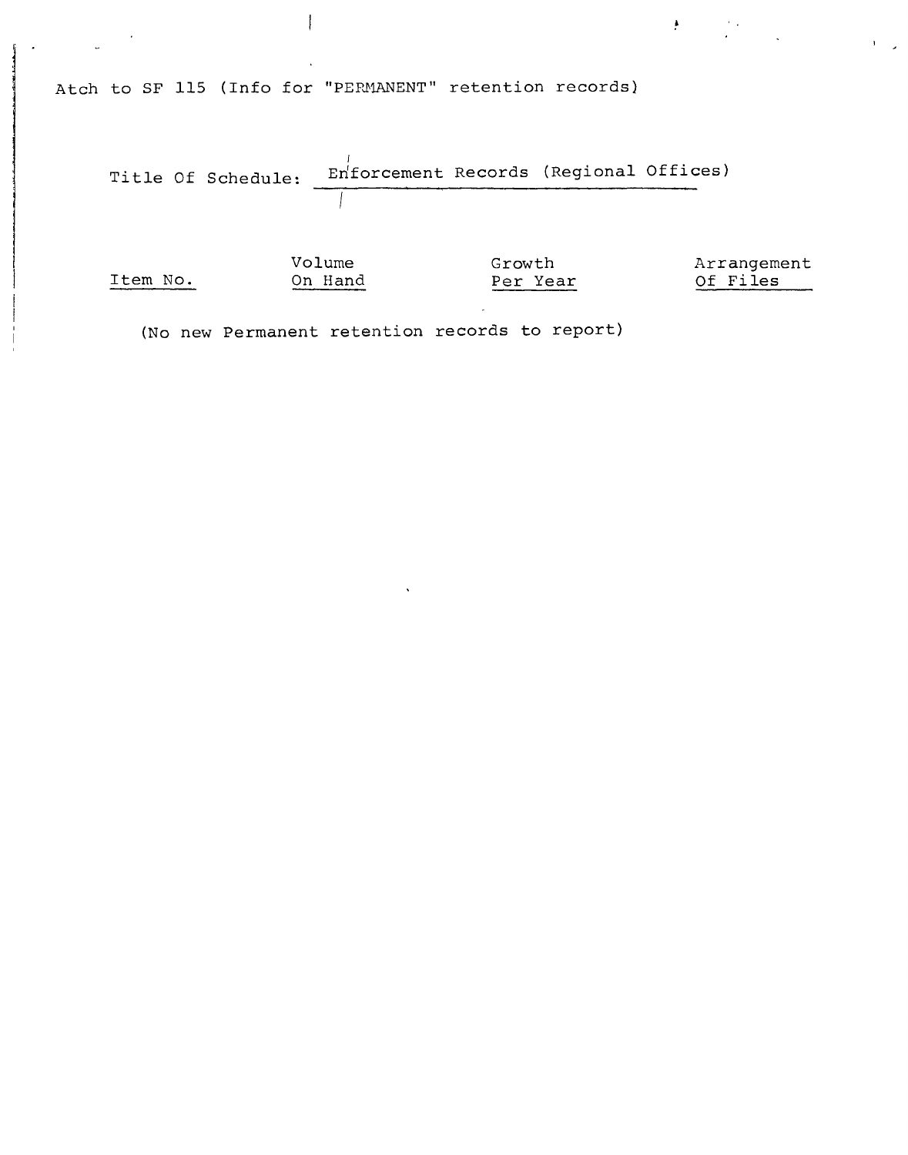Atch to SF **115** (Info for "PERHANENT" retention records)

 $\mathbf{I}$ 



 $\frac{1}{2}$ 

 $\mathcal{F}(\mathcal{L}^{\mathcal{A}})$  .

(No new Permanent retention records to report)